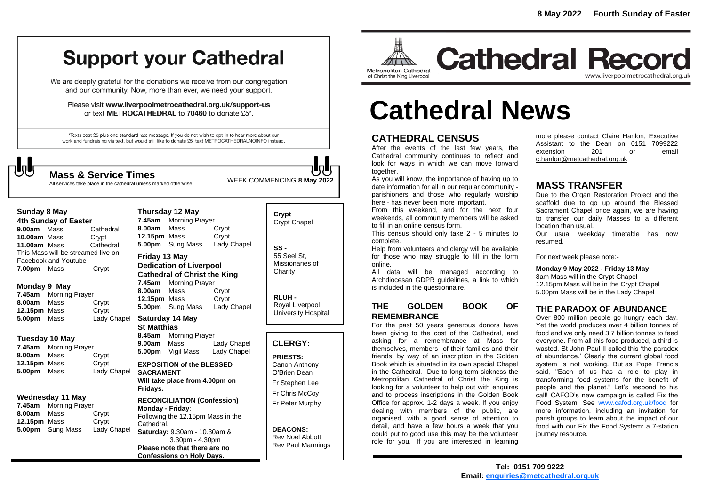# **Support your Cathedral**

We are deeply grateful for the donations we receive from our congregation and our community. Now, more than ever, we need your support.

Please visit www.liverpoolmetrocathedral.org.uk/support-us or text METROCATHEDRAL to 70460 to donate £5\*.

\*Texts cost £5 plus one standard rate message. If you do not wish to opt-in to hear more about our work and fundraising via text, but would still like to donate £5, text METROCATHEDRALNOINFO instead.

**Sunday 8 May 4th Sunday of Easter 9.00am** MassCathedral **10.00am** MassCrypt **11.00am** Mass Cathedral This Mass will be streamed live on

Facebook and Youtube **7.00pm** Mass Crypt

**Monday 9 May 7.45am** Morning Prayer **8.00am** Mass Crypt **12.15pm** Mass Crypt **5.00pm** Mass Lady Chapel

**Tuesday 10 May 7.45am** Morning Prayer **8.00am** Mass Crypt **12.15pm** Mass Crypt **5.00pm** Mass Lady Chapel

**Wednesday 11 May 7.45am** Morning Prayer **8.00am** Mass Crypt **12.15pm** Mass Crypt **5.00pm** Sung Mass Lady Chapel

WEEK COMMENCING **<sup>8</sup> May <sup>2022</sup> Mass & Service Times**

All services take place in the cathedral unless marked otherwise

# **Thursday 12 May**

**7.45am** Morning Prayer **8.00am** Mass Crypt **12.15pm** Mass Crypt **5.00pm** Sung Mass Lady Chapel

### **Friday 13 May Dedication of Liverpool Cathedral of Christ the King 7.45am** Morning Prayer

**8.00am** Mass Crypt **12.15pm** Mass Crypt **5.00pm** Sung Mass Lady Chapel

#### **Saturday 14 May St Matthias**

**8.45am** Morning Prayer **9.00am** Mass Lady Chapel **5.00pm** Vigil Mass Lady Chapel

**EXPOSITION of the BLESSED SACRAMENT Will take place from 4.00pm on** 

**Fridays. RECONCILIATION (Confession)** 

#### **Monday - Friday**: Following the 12.15pm Mass in the Cathedral. **Saturday:** 9.30am - 10.30am & 3.30pm - 4.30pm **Please note that there are no Confessions on Holy Days.**

### **Crypt**  Crypt Chapel

**SS -** 55 Seel St, Missionaries of **Charity** 

**RLUH -** Royal Liverpool University Hospital

# **CLERGY:**

**PRIESTS:**

Canon Anthony O'Brien *Dean*

Fr Stephen Lee Fr Chris McCoy Fr Peter Murphy

#### **DEACONS:** Rev Noel Abbott Rev Paul Mannings



# **Cathedral Record** www.liverpoolmetrocathedral.org.uk

# **Cathedral News**

# **CATHEDRAL CENSUS**

After the events of the last few years, the Cathedral community continues to reflect and look for ways in which we can move forward together.

As you will know, the importance of having up to date information for all in our regular community parishioners and those who regularly worship here - has never been more important.

From this weekend, and for the next four weekends, all community members will be asked to fill in an online census form.

This census should only take 2 - 5 minutes to complete.

Help from volunteers and clergy will be available for those who may struggle to fill in the form online.

All data will be managed according to Archdiocesan GDPR guidelines, a link to which is included in the questionnaire.

# **THE GOLDEN BOOK OF REMEMBRANCE**

For the past 50 years generous donors have been giving to the cost of the Cathedral, and asking for a remembrance at Mass for themselves, members of their families and their friends, by way of an inscription in the Golden Book which is situated in its own special Chapel in the Cathedral. Due to long term sickness the Metropolitan Cathedral of Christ the King is looking for a volunteer to help out with enquires and to process inscriptions in the Golden Book Office for approx. 1-2 days a week. If you enjoy dealing with members of the public, are organised, with a good sense of attention to detail, and have a few hours a week that you could put to good use this may be the volunteer role for you. If you are interested in learning

more please contact Claire Hanlon, Executive Assistant to the Dean on 0151 7099222 extension 201 or email [c.hanlon@metcathedral.org.uk](mailto:c.hanlon@metcathedral.org.uk)

# **MASS TRANSFER**

Due to the Organ Restoration Project and the scaffold due to go up around the Blessed Sacrament Chapel once again, we are having to transfer our daily Masses to a different location than usual.

Our usual weekday timetable has now resumed.

For next week please note:-

**Monday 9 May 2022 - Friday 13 May** 8am Mass will in the Crypt Chapel 12.15pm Mass will be in the Crypt Chapel 5.00pm Mass will be in the Lady Chapel

# **THE PARADOX OF ABUNDANCE**

Over 800 million people go hungry each day. Yet the world produces over 4 billion tonnes of food and we only need 3.7 billion tonnes to feed everyone. From all this food produced, a third is wasted. St John Paul II called this 'the paradox of abundance.' Clearly the current global food system is not working. But as Pope Francis said, "Each of us has a role to play in transforming food systems for the benefit of people and the planet." Let's respond to his call! CAFOD's new campaign is called Fix the Food System. See [www.cafod.org.uk/food](http://www.cafod.org.uk/food) for more information, including an invitation for parish groups to learn about the impact of our food with our *Fix the Food System: a 7-station journey* resource.